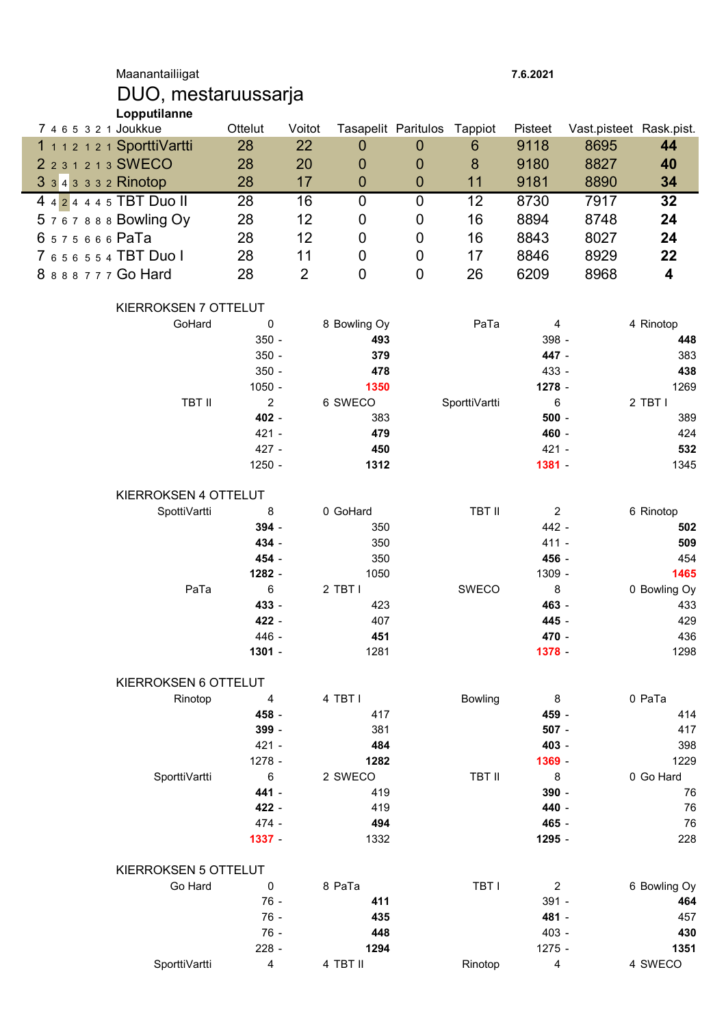Maanantailiigat 7.6.2021

## DUO, mestaruussarja Lopputilanne

| 7 4 6 5 3 2 1 Joukkue       | Ottelut         | Voitot         |                 | Tasapelit Paritulos Tappiot |                 | Pisteet         | Vast.pisteet Rask.pist. |                      |
|-----------------------------|-----------------|----------------|-----------------|-----------------------------|-----------------|-----------------|-------------------------|----------------------|
| 1 1 1 2 1 2 1 SporttiVartti | 28              | 22             | 0               | $\boldsymbol{0}$            | $6\phantom{1}6$ | 9118            | 8695                    | 44                   |
| 2 2 3 1 2 1 3 SWECO         | 28              | 20             | 0               | $\boldsymbol{0}$            | 8               | 9180            | 8827                    | 40                   |
| 3 3 4 3 3 3 2 Rinotop       | 28              | 17             | $\mathbf 0$     | $\boldsymbol{0}$            | 11              | 9181            | 8890                    | 34                   |
| 4 4 2 4 4 4 5 TBT Duo II    | 28              | 16             | 0               | $\mathbf 0$                 | 12              | 8730            | 7917                    | 32                   |
| 5767888 Bowling Oy          | 28              | 12             | 0               | 0                           | 16              | 8894            | 8748                    | 24                   |
| 6575666 PaTa                | 28              | 12             | 0               | $\mathbf 0$                 | 16              | 8843            | 8027                    | 24                   |
| 7 6 5 6 5 5 4 TBT Duo I     | 28              | 11             | $\mathbf 0$     | 0                           |                 |                 |                         | 22                   |
|                             |                 |                |                 |                             | 17              | 8846            | 8929                    |                      |
| 8 8 8 8 7 7 7 Go Hard       | 28              | $\overline{2}$ | $\mathbf 0$     | $\boldsymbol{0}$            | 26              | 6209            | 8968                    | 4                    |
| KIERROKSEN 7 OTTELUT        |                 |                |                 |                             |                 |                 |                         |                      |
| GoHard                      | 0               |                | 8 Bowling Oy    |                             | PaTa            | 4               |                         | 4 Rinotop            |
|                             | $350 -$         |                | 493             |                             |                 | 398 -           |                         | 448                  |
|                             | $350 -$         |                | 379             |                             |                 | 447 -           |                         | 383                  |
|                             | $350 -$         |                | 478             |                             |                 | 433 -           |                         | 438                  |
|                             | $1050 -$        |                | 1350            |                             |                 | 1278 -          |                         | 1269                 |
| <b>TBT II</b>               | $\overline{2}$  |                | 6 SWECO         |                             | SporttiVartti   | $\,6\,$         |                         | 2 TBT I              |
|                             | 402 -           |                | 383             |                             |                 | $500 -$         |                         | 389                  |
|                             | 421 -           |                | 479             |                             |                 | 460 -           |                         | 424                  |
|                             | 427 -           |                | 450             |                             |                 | 421 -           |                         | 532                  |
|                             | 1250 -          |                | 1312            |                             |                 | $1381 -$        |                         | 1345                 |
| KIERROKSEN 4 OTTELUT        |                 |                |                 |                             |                 |                 |                         |                      |
|                             |                 |                |                 |                             | <b>TBT II</b>   |                 |                         |                      |
| SpottiVartti                | 8               |                | 0 GoHard        |                             |                 | $\overline{c}$  |                         | 6 Rinotop            |
|                             | 394 -<br>434 -  |                | 350             |                             |                 | 442 -           |                         | 502                  |
|                             |                 |                | 350             |                             |                 | $411 -$         |                         | 509                  |
|                             | 454 -<br>1282 - |                | 350             |                             |                 | 456 -<br>1309 - |                         | 454                  |
| PaTa                        | 6               |                | 1050<br>2 TBT I |                             | SWECO           | $\bf 8$         |                         | 1465<br>0 Bowling Oy |
|                             | 433 -           |                | 423             |                             |                 | 463 -           |                         |                      |
|                             |                 |                |                 |                             |                 |                 |                         | 433                  |
|                             | 422 -           |                | 407             |                             |                 | 445 -           |                         | 429                  |
|                             | 446 -           |                | 451             |                             |                 | 470 -           |                         | 436                  |
|                             | 1301 -          |                | 1281            |                             |                 | 1378 -          |                         | 1298                 |
| KIERROKSEN 6 OTTELUT        |                 |                |                 |                             |                 |                 |                         |                      |
| Rinotop                     | 4               |                | 4 TBT I         |                             | <b>Bowling</b>  | 8               |                         | 0 PaTa               |
|                             | 458 -           |                | 417             |                             |                 | 459 -           |                         | 414                  |
|                             | 399 -           |                | 381             |                             |                 | $507 -$         |                         | 417                  |
|                             | $421 -$         |                | 484             |                             |                 | 403 -           |                         | 398                  |
|                             | 1278 -          |                | 1282            |                             |                 | 1369 -          |                         | 1229                 |
| SporttiVartti               | 6               |                | 2 SWECO         |                             | <b>TBT II</b>   | 8               |                         | 0 Go Hard            |
|                             | 441 -           |                | 419             |                             |                 | 390 -           |                         | 76                   |
|                             | 422 -           |                | 419             |                             |                 | 440 -           |                         | 76                   |
|                             | 474 -           |                | 494             |                             |                 | 465 -           |                         | 76                   |
|                             | 1337 -          |                | 1332            |                             |                 | 1295 -          |                         | 228                  |
| KIERROKSEN 5 OTTELUT        |                 |                |                 |                             |                 |                 |                         |                      |
| Go Hard                     | $\pmb{0}$       |                | 8 PaTa          |                             | TBT I           | $\overline{c}$  |                         | 6 Bowling Oy         |
|                             | $76 -$          |                | 411             |                             |                 | $391 -$         |                         | 464                  |
|                             | $76 -$          |                | 435             |                             |                 | 481 -           |                         | 457                  |
|                             | $76 -$          |                | 448             |                             |                 | 403 -           |                         | 430                  |
|                             | 228 -           |                | 1294            |                             |                 | $1275 -$        |                         | 1351                 |
| SporttiVartti               | 4               |                | 4 TBT II        |                             | Rinotop         | 4               |                         | 4 SWECO              |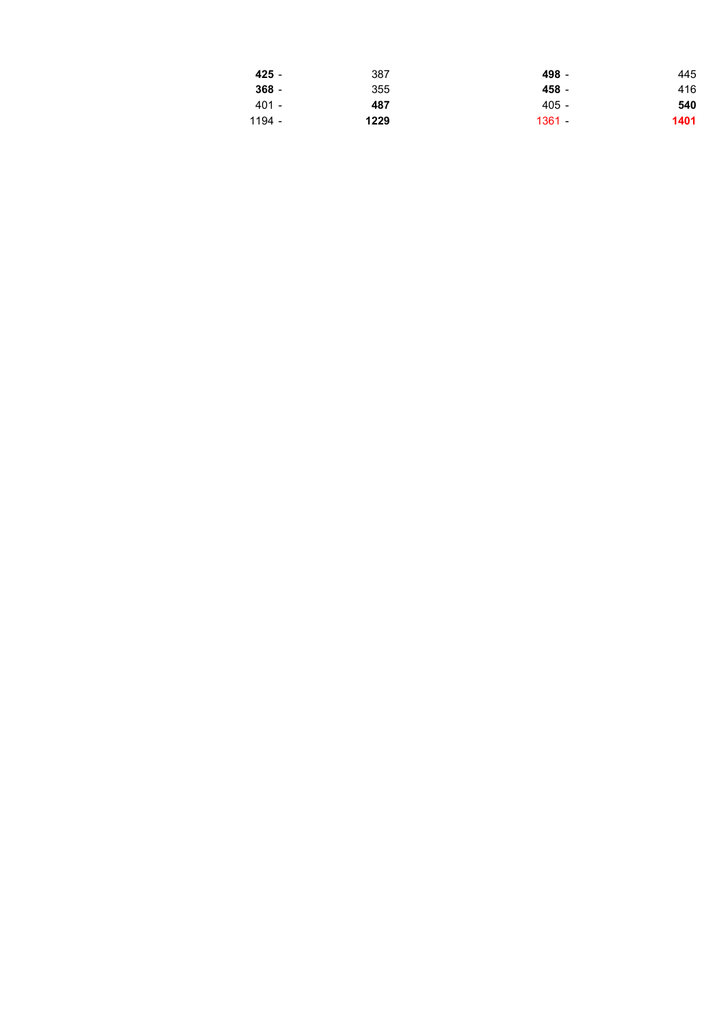| 425 -   | 387  | 498 -    | 445  |
|---------|------|----------|------|
| $368 -$ | 355  | 458 -    | 416  |
| 401 -   | 487  | 405 -    | 540  |
| 1194 -  | 1229 | $1361 -$ | 1401 |